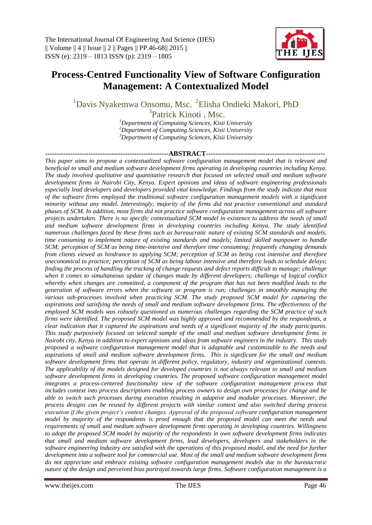

# **Process-Centred Functionality View of Software Configuration Management: A Contextualized Model**

<sup>1</sup>Davis Nyakemwa Onsomu, Msc. <sup>2</sup>Elisha Ondieki Makori, PhD

<sup>3</sup>Patrick Kinoti, Msc.

*<sup>1</sup>Department of Computing Sciences, Kisii University <sup>2</sup>Department of Computing Sciences, Kisii University <sup>3</sup>Department of Computing Sciences, Kisii University*

**------------------------------------------------------ABSTRACT----------------------------------------------------** *This paper aims to propose a contextualized software configuration management model that is relevant and beneficial to small and medium software development firms operating in developing countries including Kenya. The study involved qualitative and quantitative research that focused on selected small and medium software development firms in Nairobi City, Kenya. Expert opinions and ideas of software engineering professionals especially lead developers and developers provided vital knowledge. Findings from the study indicate that most of the software firms employed the traditional software configuration management models with a significant minority without any model. Interestingly, majority of the firms did not practice conventional and standard phases of SCM. In addition, most firms did not practice software configuration management across all software projects undertaken. There is no specific contextualized SCM model in existence to address the needs of small and medium software development firms in developing countries including Kenya. The study identified numerous challenges faced by these firms such as bureaucratic nature of existing SCM standards and models, time consuming to implement nature of existing standards and models; limited skilled manpower to handle SCM; perception of SCM as being time-intensive and therefore time consuming; frequently changing demands from clients viewed as hindrance to applying SCM; perception of SCM as being cost intensive and therefore uneconomical to practice; perception of SCM as being labour intensive and therefore leads to schedule delays; finding the process of handling the tracking of change requests and defect reports difficult to manage; challenge when it comes to simultaneous update of changes made by different developers; challenge of logical conflict whereby when changes are committed, a component of the program that has not been modified leads to the generation of software errors when the software or program is run; challenges in smoothly managing the various sub-processes involved when practicing SCM. The study proposed SCM model for capturing the aspirations and satisfying the needs of small and medium software development firms. The effectiveness of the employed SCM models was robustly questioned as numerous challenges regarding the SCM practice of such firms were identified. The proposed SCM model was highly approved and recommended by the respondents, a clear indication that it captured the aspirations and needs of a significant majority of the study participants. This study purposively focused on selected sample of the small and medium software development firms in Nairobi city, Kenya in addition to expert opinions and ideas from software engineers in the industry. This study proposed a software configuration management model that is adaptable and customizable to the needs and aspirations of small and medium software development firms. This is significant for the small and medium software development firms that operate in different policy, regulatory, industry and organizational contexts. The applicability of the models designed for developed countries is not always relevant to small and medium software development firms in developing countries. The proposed software configuration management model integrates a process-centered functionality view of the software configuration management process that includes context into process descriptions enabling process owners to design own processes for change and be able to switch such processes during execution resulting in adaptive and modular processes. Moreover, the process designs can be reused by different projects with similar context and also switched during process execution if the given project's context changes. Approval of the proposed software configuration management model by majority of the respondents is proof enough that the proposed model can meet the needs and requirements of small and medium software development firms operating in developing countries. Willingness to adopt the proposed SCM model by majority of the respondents in own software development firms indicates that small and medium software development firms, lead developers, developers and stakeholders in the software engineering industry are satisfied with the operations of this proposed model, and the need for further development into a software tool for commercial use. Most of the small and medium software development firms do not appreciate and embrace existing software configuration management models due to the bureaucratic nature of the design and perceived bias portrayal towards large firms. Software configuration management is a*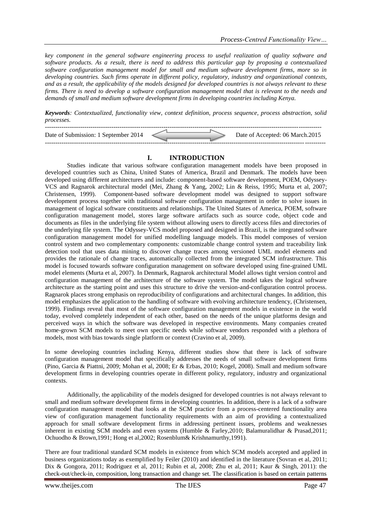*key component in the general software engineering process to useful realization of quality software and software products. As a result, there is need to address this particular gap by proposing a contextualized software configuration management model for small and medium software development firms, more so in developing countries. Such firms operate in different policy, regulatory, industry and organizational contexts, and as a result, the applicability of the models designed for developed countries is not always relevant to these firms. There is need to develop a software configuration management model that is relevant to the needs and demands of small and medium software development firms in developing countries including Kenya.*

*Keywords: Contextualized, functionality view, context definition, process sequence, process abstraction, solid processes.*

| Date of Submission: 1 September 2014 |  | Date of Accepted: 06 March.2015 |
|--------------------------------------|--|---------------------------------|
|                                      |  |                                 |

#### **I. INTRODUCTION**

Studies indicate that various software configuration management models have been proposed in developed countries such as China, United States of America, Brazil and Denmark. The models have been developed using different architectures and include: component-based software development, POEM, Odyssey-VCS and Ragnarok architectural model (Mei, Zhang & Yang, 2002; Lin & Reiss, 1995; Murta et al, 2007; Christensen, 1999). Component-based software development model was designed to support software development process together with traditional software configuration management in order to solve issues in management of logical software constituents and relationships. The United States of America, POEM, software configuration management model, stores large software artifacts such as source code, object code and documents as files in the underlying file system without allowing users to directly access files and directories of the underlying file system. The Odyssey-VCS model proposed and designed in Brazil, is the integrated software configuration management model for unified modelling language models. This model composes of version control system and two complementary components: customizable change control system and traceability link detection tool that uses data mining to discover change traces among versioned UML model elements and provides the rationale of change traces, automatically collected from the integrated SCM infrastructure. This model is focused towards software configuration management on software developed using fine-grained UML model elements (Murta et al, 2007). In Denmark, Ragnarok architectural Model allows tight version control and configuration management of the architecture of the software system. The model takes the logical software architecture as the starting point and uses this structure to drive the version-and-configuration control process. Ragnarok places strong emphasis on reproducibility of configurations and architectural changes. In addition, this model emphasizes the application to the handling of software with evolving architecture tendency, (Christensen, 1999). Findings reveal that most of the software configuration management models in existence in the world today, evolved completely independent of each other, based on the needs of the unique platforms design and perceived ways in which the software was developed in respective environments. Many companies created home-grown SCM models to meet own specific needs while software vendors responded with a plethora of models, most with bias towards single platform or context (Cravino et al, 2009).

In some developing countries including Kenya, different studies show that there is lack of software configuration management model that specifically addresses the needs of small software development firms (Pino, Garcia & Piattni, 2009; Mohan et al, 2008; Er & Erbas, 2010; Kogel, 2008). Small and medium software development firms in developing countries operate in different policy, regulatory, industry and organizational contexts.

Additionally, the applicability of the models designed for developed countries is not always relevant to small and medium software development firms in developing countries. In addition, there is a lack of a software configuration management model that looks at the SCM practice from a process-centered functionality area view of configuration management functionality requirements with an aim of providing a contextualized approach for small software development firms in addressing pertinent issues, problems and weaknesses inherent in existing SCM models and even systems (Humble & Farley,2010; Balamuralidhar & Prasad,2011; Ochuodho & Brown,1991; Hong et al,2002; Rosenblum& Krishnamurthy,1991).

There are four traditional standard SCM models in existence from which SCM models accepted and applied in business organizations today as exemplified by Feiler (2010) and identified in the literature (Sovran et al, 2011; Dix & Gongora, 2011; Rodriguez et al, 2011; Rubin et al, 2008; Zhu et al, 2011; Kaur & Singh, 2011): the check-out/check-in, composition, long transaction and change set. The classification is based on certain patterns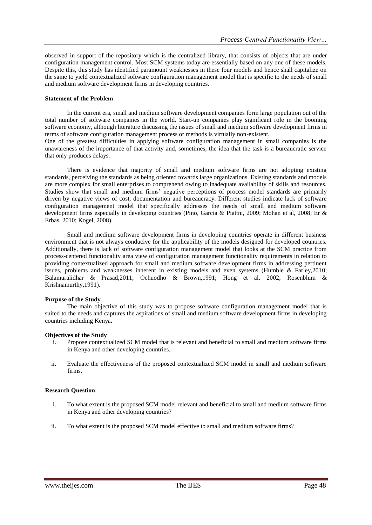observed in support of the repository which is the centralized library, that consists of objects that are under configuration management control. Most SCM systems today are essentially based on any one of these models. Despite this, this study has identified paramount weaknesses in these four models and hence shall capitalize on the same to yield contextualized software configuration management model that is specific to the needs of small and medium software development firms in developing countries.

#### **Statement of the Problem**

In the current era, small and medium software development companies form large population out of the total number of software companies in the world. Start-up companies play significant role in the booming software economy, although literature discussing the issues of small and medium software development firms in terms of software configuration management process or methods is virtually non-existent.

One of the greatest difficulties in applying software configuration management in small companies is the unawareness of the importance of that activity and, sometimes, the idea that the task is a bureaucratic service that only produces delays.

There is evidence that majority of small and medium software firms are not adopting existing standards, perceiving the standards as being oriented towards large organizations. Existing standards and models are more complex for small enterprises to comprehend owing to inadequate availability of skills and resources. Studies show that small and medium firms' negative perceptions of process model standards are primarily driven by negative views of cost, documentation and bureaucracy. Different studies indicate lack of software configuration management model that specifically addresses the needs of small and medium software development firms especially in developing countries (Pino, Garcia & Piattni, 2009; Mohan et al, 2008; Er & Erbas, 2010; Kogel, 2008).

Small and medium software development firms in developing countries operate in different business environment that is not always conducive for the applicability of the models designed for developed countries. Additionally, there is lack of software configuration management model that looks at the SCM practice from process-centered functionality area view of configuration management functionality requirements in relation to providing contextualized approach for small and medium software development firms in addressing pertinent issues, problems and weaknesses inherent in existing models and even systems (Humble & Farley,2010; Balamuralidhar & Prasad,2011; Ochuodho & Brown,1991; Hong et al, 2002; Rosenblum & Krishnamurthy,1991).

### **Purpose of the Study**

The main objective of this study was to propose software configuration management model that is suited to the needs and captures the aspirations of small and medium software development firms in developing countries including Kenya.

### **Objectives of the Study**

- i. Propose contextualized SCM model that is relevant and beneficial to small and medium software firms in Kenya and other developing countries.
- ii. Evaluate the effectiveness of the proposed contextualized SCM model in small and medium software firms.

### **Research Question**

- i. To what extent is the proposed SCM model relevant and beneficial to small and medium software firms in Kenya and other developing countries?
- ii. To what extent is the proposed SCM model effective to small and medium software firms?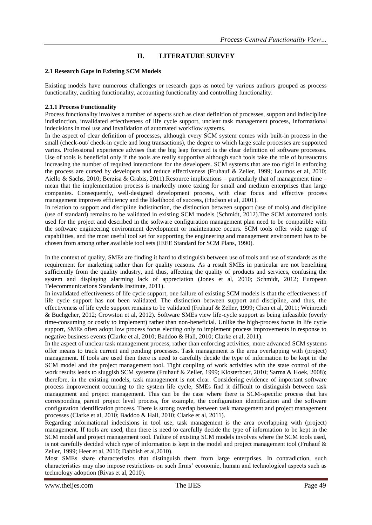# **II. LITERATURE SURVEY**

#### **2.1 Research Gaps in Existing SCM Models**

Existing models have numerous challenges or research gaps as noted by various authors grouped as process functionality, auditing functionality, accounting functionality and controlling functionality.

#### **2.1.1 Process Functionality**

Process functionality involves a number of aspects such as clear definition of processes, support and indiscipline indistinction, invalidated effectiveness of life cycle support, unclear task management process, informational indecisions in tool use and invalidation of automated workflow systems.

In the aspect of clear definition of processes**,** although every SCM system comes with built-in process in the small (check-out/ check-in cycle and long transactions), the degree to which large scale processes are supported varies. Professional experience advises that the big leap forward is the clear definition of software processes. Use of tools is beneficial only if the tools are really supportive although such tools take the role of bureaucrats increasing the number of required interactions for the developers. SCM systems that are too rigid in enforcing the process are cursed by developers and reduce effectiveness (Fruhauf & Zeller, 1999; Loumos et al, 2010; Aiello & Sachs, 2010; Berzisa & Grabis, 2011).Resource implications – particularly that of management time – mean that the implementation process is markedly more taxing for small and medium enterprises than large companies. Consequently, well-designed development process, with clear focus and effective process management improves efficiency and the likelihood of success, (Hudson et al, 2001).

In relation to support and discipline indistinction, the distinction between support (use of tools) and discipline (use of standard) remains to be validated in existing SCM models (Schmidt, 2012).The SCM automated tools used for the project and described in the software configuration management plan need to be compatible with the software engineering environment development or maintenance occurs. SCM tools offer wide range of capabilities, and the most useful tool set for supporting the engineering and management environment has to be chosen from among other available tool sets (IEEE Standard for SCM Plans, 1990).

In the context of quality, SMEs are finding it hard to distinguish between use of tools and use of standards as the requirement for marketing rather than for quality reasons. As a result SMEs in particular are not benefiting sufficiently from the quality industry, and thus, affecting the quality of products and services, confusing the system and displaying alarming lack of appreciation (Jones et al, 2010; Schmidt, 2012; European Telecommunications Standards Institute, 2011).

In invalidated effectiveness of life cycle support, one failure of existing SCM models is that the effectiveness of life cycle support has not been validated. The distinction between support and discipline, and thus, the effectiveness of life cycle support remains to be validated (Fruhauf & Zeller, 1999; Chen et al, 2011; Weinreich & Buchgeher, 2012; Crowston et al, 2012). Software SMEs view life-cycle support as being infeasible (overly time-consuming or costly to implement) rather than non-beneficial. Unlike the high-process focus in life cycle support, SMEs often adopt low process focus electing only to implement process improvements in response to negative business events (Clarke et al, 2010; Baddoo & Hall, 2010; Clarke et al, 2011).

In the aspect of unclear task management process, rather than enforcing activities, more advanced SCM systems offer means to track current and pending processes. Task management is the area overlapping with (project) management. If tools are used then there is need to carefully decide the type of information to be kept in the SCM model and the project management tool. Tight coupling of work activities with the state control of the work results leads to sluggish SCM systems (Fruhauf & Zeller, 1999; Klosterboer, 2010; Sarma & Hoek, 2008); therefore, in the existing models, task management is not clear. Considering evidence of important software process improvement occurring to the system life cycle, SMEs find it difficult to distinguish between task management and project management. This can be the case where there is SCM-specific process that has corresponding parent project level process, for example, the configuration identification and the software configuration identification process. There is strong overlap between task management and project management processes (Clarke et al, 2010; Baddoo & Hall, 2010; Clarke et al, 2011).

Regarding informational indecisions in tool use, task management is the area overlapping with (project) management. If tools are used, then there is need to carefully decide the type of information to be kept in the SCM model and project management tool. Failure of existing SCM models involves where the SCM tools used, is not carefully decided which type of information is kept in the model and project management tool (Fruhauf & Zeller, 1999; Heer et al, 2010; Dabbish et al,2010).

Most SMEs share characteristics that distinguish them from large enterprises. In contradiction, such characteristics may also impose restrictions on such firms' economic, human and technological aspects such as technology adoption (Rivas et al, 2010).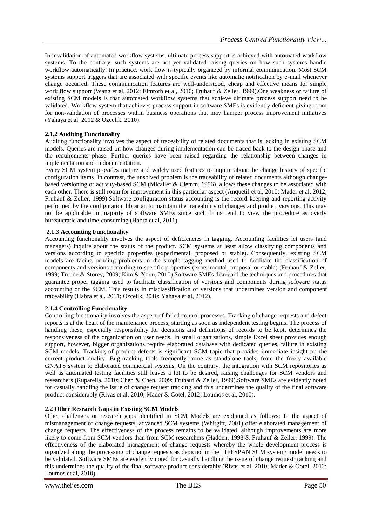In invalidation of automated workflow systems, ultimate process support is achieved with automated workflow systems. To the contrary, such systems are not yet validated raising queries on how such systems handle workflow automatically. In practice, work flow is typically organized by informal communication. Most SCM systems support triggers that are associated with specific events like automatic notification by e-mail whenever change occurred. These communication features are well-understood, cheap and effective means for simple work flow support (Wang et al, 2012; Elmroth et al, 2010; Fruhauf & Zeller, 1999).One weakness or failure of existing SCM models is that automated workflow systems that achieve ultimate process support need to be validated. Workflow system that achieves process support in software SMEs is evidently deficient giving room for non-validation of processes within business operations that may hamper process improvement initiatives (Yahaya et al, 2012 & Ozcelik, 2010).

### **2.1.2 Auditing Functionality**

Auditing functionality involves the aspect of traceability of related documents that is lacking in existing SCM models. Queries are raised on how changes during implementation can be traced back to the design phase and the requirements phase. Further queries have been raised regarding the relationship between changes in implementation and in documentation.

Every SCM system provides mature and widely used features to inquire about the change history of specific configuration items. In contrast, the unsolved problem is the traceability of related documents although changebased versioning or activity-based SCM (Micallef & Clemm, 1996), allows these changes to be associated with each other. There is still room for improvement in this particular aspect (Anquetil et al, 2010; Mader et al, 2012; Fruhauf & Zeller, 1999).Software configuration status accounting is the record keeping and reporting activity performed by the configuration librarian to maintain the traceability of changes and product versions. This may not be applicable in majority of software SMEs since such firms tend to view the procedure as overly bureaucratic and time-consuming (Habra et al, 2011).

### **2.1.3 Accounting Functionality**

Accounting functionality involves the aspect of deficiencies in tagging. Accounting facilities let users (and managers) inquire about the status of the product. SCM systems at least allow classifying components and versions according to specific properties (experimental, proposed or stable). Consequently, existing SCM models are facing pending problems in the simple tagging method used to facilitate the classification of components and versions according to specific properties (experimental, proposal or stable) (Fruhauf & Zeller, 1999; Treude & Storey, 2009; Kim & Youn, 2010).Software SMEs disregard the techniques and procedures that guarantee proper tagging used to facilitate classification of versions and components during software status accounting of the SCM. This results in misclassification of versions that undermines version and component traceability (Habra et al, 2011; Ozcelik, 2010; Yahaya et al, 2012).

### **2.1.4 Controlling Functionality**

Controlling functionality involves the aspect of failed control processes. Tracking of change requests and defect reports is at the heart of the maintenance process, starting as soon as independent testing begins. The process of handling these, especially responsibility for decisions and definitions of records to be kept, determines the responsiveness of the organization on user needs. In small organizations, simple Excel sheet provides enough support, however, bigger organizations require elaborated database with dedicated queries, failure in existing SCM models. Tracking of product defects is significant SCM topic that provides immediate insight on the current product quality. Bug-tracking tools frequently come as standalone tools, from the freely available GNATS system to elaborated commercial systems. On the contrary, the integration with SCM repositories as well as automated testing facilities still leaves a lot to be desired, raising challenges for SCM vendors and researchers (Rupareila, 2010; Chen & Chen, 2009; Fruhauf & Zeller, 1999).Software SMEs are evidently noted for casually handling the issue of change request tracking and this undermines the quality of the final software product considerably (Rivas et al, 2010; Mader & Gotel, 2012; Loumos et al, 2010).

### **2.2 Other Research Gaps in Existing SCM Models**

Other challenges or research gaps identified in SCM Models are explained as follows: In the aspect of mismanagement of change requests, advanced SCM systems (Whitgift, 2001) offer elaborated management of change requests. The effectiveness of the process remains to be validated, although improvements are more likely to come from SCM vendors than from SCM researchers (Hadden, 1998 & Fruhauf & Zeller, 1999). The effectiveness of the elaborated management of change requests whereby the whole development process is organized along the processing of change requests as depicted in the LIFESPAN SCM system/ model needs to be validated. Software SMEs are evidently noted for casually handling the issue of change request tracking and this undermines the quality of the final software product considerably (Rivas et al, 2010; Mader & Gotel, 2012; Loumos et al, 2010).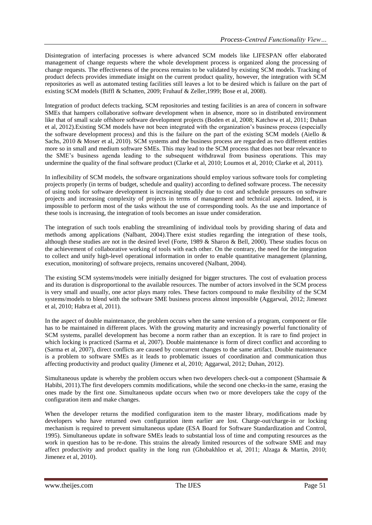Disintegration of interfacing processes is where advanced SCM models like LIFESPAN offer elaborated management of change requests where the whole development process is organized along the processing of change requests. The effectiveness of the process remains to be validated by existing SCM models. Tracking of product defects provides immediate insight on the current product quality, however, the integration with SCM repositories as well as automated testing facilities still leaves a lot to be desired which is failure on the part of existing SCM models (Biffl & Schatten, 2009; Fruhauf & Zeller,1999; Bose et al, 2008).

Integration of product defects tracking, SCM repositories and testing facilities is an area of concern in software SMEs that hampers collaborative software development when in absence, more so in distributed environment like that of small scale offshore software development projects (Boden et al, 2008; Katchow et al, 2011; Duhan et al, 2012).Existing SCM models have not been integrated with the organization's business process (especially the software development process) and this is the failure on the part of the existing SCM models (Aiello  $\&$ Sachs, 2010 & Moser et al, 2010). SCM systems and the business process are regarded as two different entities more so in small and medium software SMEs. This may lead to the SCM process that does not bear relevance to the SME's business agenda leading to the subsequent withdrawal from business operations. This may undermine the quality of the final software product (Clarke et al, 2010; Loumos et al, 2010; Clarke et al, 2011).

In inflexibility of SCM models, the software organizations should employ various software tools for completing projects properly (in terms of budget, schedule and quality) according to defined software process. The necessity of using tools for software development is increasing steadily due to cost and schedule pressures on software projects and increasing complexity of projects in terms of management and technical aspects. Indeed, it is impossible to perform most of the tasks without the use of corresponding tools. As the use and importance of these tools is increasing, the integration of tools becomes an issue under consideration.

The integration of such tools enabling the streamlining of individual tools by providing sharing of data and methods among applications (Nalbant, 2004).There exist studies regarding the integration of these tools, although these studies are not in the desired level (Forte, 1989 & Sharon & Bell, 2000). These studies focus on the achievement of collaborative working of tools with each other. On the contrary, the need for the integration to collect and unify high-level operational information in order to enable quantitative management (planning, execution, monitoring) of software projects, remains uncovered (Nalbant, 2004).

The existing SCM systems/models were initially designed for bigger structures. The cost of evaluation process and its duration is disproportional to the available resources. The number of actors involved in the SCM process is very small and usually, one actor plays many roles. These factors compound to make flexibility of the SCM systems/models to blend with the software SME business process almost impossible (Aggarwal, 2012; Jimenez et al, 2010; Habra et al, 2011).

In the aspect of double maintenance, the problem occurs when the same version of a program, component or file has to be maintained in different places. With the growing maturity and increasingly powerful functionality of SCM systems, parallel development has become a norm rather than an exception. It is rare to find project in which locking is practiced (Sarma et al, 2007). Double maintenance is form of direct conflict and according to (Sarma et al, 2007), direct conflicts are caused by concurrent changes to the same artifact. Double maintenance is a problem to software SMEs as it leads to problematic issues of coordination and communication thus affecting productivity and product quality (Jimenez et al, 2010; Aggarwal, 2012; Duhan, 2012).

Simultaneous update is whereby the problem occurs when two developers check-out a component (Shamsaie & Habibi, 2011).The first developers commits modifications, while the second one checks-in the same, erasing the ones made by the first one. Simultaneous update occurs when two or more developers take the copy of the configuration item and make changes.

When the developer returns the modified configuration item to the master library, modifications made by developers who have returned own configuration item earlier are lost. Charge-out/charge-in or locking mechanism is required to prevent simultaneous update (ESA Board for Software Standardization and Control, 1995). Simultaneous update in software SMEs leads to substantial loss of time and computing resources as the work in question has to be re-done. This strains the already limited resources of the software SME and may affect productivity and product quality in the long run (Ghobakhloo et al, 2011; Alzaga & Martin, 2010; Jimenez et al, 2010).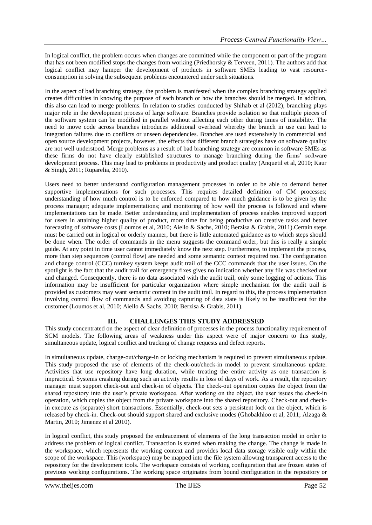In logical conflict, the problem occurs when changes are committed while the component or part of the program that has not been modified stops the changes from working (Priedhorsky & Terveen, 2011). The authors add that logical conflict may hamper the development of products in software SMEs leading to vast resourceconsumption in solving the subsequent problems encountered under such situations.

In the aspect of bad branching strategy, the problem is manifested when the complex branching strategy applied creates difficulties in knowing the purpose of each branch or how the branches should be merged. In addition, this also can lead to merge problems. In relation to studies conducted by Shihab et al (2012), branching plays major role in the development process of large software. Branches provide isolation so that multiple pieces of the software system can be modified in parallel without affecting each other during times of instability. The need to move code across branches introduces additional overhead whereby the branch in use can lead to integration failures due to conflicts or unseen dependencies. Branches are used extensively in commercial and open source development projects, however, the effects that different branch strategies have on software quality are not well understood. Merge problems as a result of bad branching strategy are common in software SMEs as these firms do not have clearly established structures to manage branching during the firms' software development process. This may lead to problems in productivity and product quality (Anquetil et al, 2010; Kaur & Singh, 2011; Ruparelia, 2010).

Users need to better understand configuration management processes in order to be able to demand better supportive implementations for such processes. This requires detailed definition of CM processes; understanding of how much control is to be enforced compared to how much guidance is to be given by the process manager; adequate implementations; and monitoring of how well the process is followed and where implementations can be made. Better understanding and implementation of process enables improved support for users in attaining higher quality of product, more time for being productive on creative tasks and better forecasting of software costs (Loumos et al, 2010; Aiello & Sachs, 2010; Berzisa & Grabis, 2011).Certain steps must be carried out in logical or orderly manner, but there is little automated guidance as to which steps should be done when. The order of commands in the menu suggests the command order, but this is really a simple guide. At any point in time user cannot immediately know the next step. Furthermore, to implement the process, more than step sequences (control flow) are needed and some semantic context required too. The configuration and change control (CCC) turnkey system keeps audit trail of the CCC commands that the user issues. On the spotlight is the fact that the audit trail for emergency fixes gives no indication whether any file was checked out and changed. Consequently, there is no data associated with the audit trail, only some logging of actions. This information may be insufficient for particular organization where simple mechanism for the audit trail is provided as customers may want semantic content in the audit trail. In regard to this, the process implementation involving control flow of commands and avoiding capturing of data state is likely to be insufficient for the customer (Loumos et al, 2010; Aiello & Sachs, 2010; Berzisa & Grabis, 2011).

### **III. CHALLENGES THIS STUDY ADDRESSED**

This study concentrated on the aspect of clear definition of processes in the process functionality requirement of SCM models. The following areas of weakness under this aspect were of major concern to this study, simultaneous update, logical conflict and tracking of change requests and defect reports.

In simultaneous update, charge-out/charge-in or locking mechanism is required to prevent simultaneous update. This study proposed the use of elements of the check-out/check-in model to prevent simultaneous update. Activities that use repository have long duration, while treating the entire activity as one transaction is impractical. Systems crashing during such an activity results in loss of days of work. As a result, the repository manager must support check-out and check-in of objects. The check-out operation copies the object from the shared repository into the user's private workspace. After working on the object, the user issues the check-in operation, which copies the object from the private workspace into the shared repository. Check-out and checkin execute as (separate) short transactions. Essentially, check-out sets a persistent lock on the object, which is released by check-in. Check-out should support shared and exclusive modes (Ghobakhloo et al, 2011; Alzaga & Martin, 2010; Jimenez et al 2010).

In logical conflict, this study proposed the embracement of elements of the long transaction model in order to address the problem of logical conflict. Transaction is started when making the change. The change is made in the workspace, which represents the working context and provides local data storage visible only within the scope of the workspace. This (workspace) may be mapped into the file system allowing transparent access to the repository for the development tools. The workspace consists of working configuration that are frozen states of previous working configurations. The working space originates from bound configuration in the repository or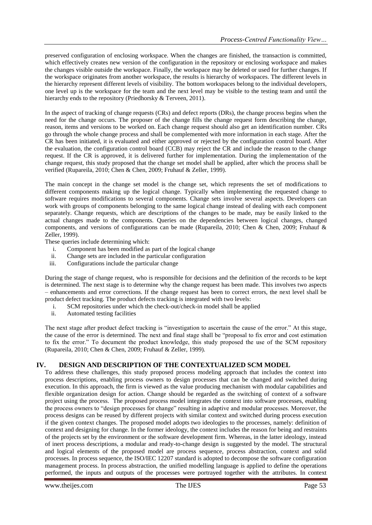preserved configuration of enclosing workspace. When the changes are finished, the transaction is committed, which effectively creates new version of the configuration in the repository or enclosing workspace and makes the changes visible outside the workspace. Finally, the workspace may be deleted or used for further changes. If the workspace originates from another workspace, the results is hierarchy of workspaces. The different levels in the hierarchy represent different levels of visibility. The bottom workspaces belong to the individual developers, one level up is the workspace for the team and the next level may be visible to the testing team and until the hierarchy ends to the repository (Priedhorsky & Terveen, 2011).

In the aspect of tracking of change requests (CRs) and defect reports (DRs), the change process begins when the need for the change occurs. The proposer of the change fills the change request form describing the change, reason, items and versions to be worked on. Each change request should also get an identification number. CRs go through the whole change process and shall be complemented with more information in each stage. After the CR has been initiated, it is evaluated and either approved or rejected by the configuration control board. After the evaluation, the configuration control board (CCB) may reject the CR and include the reason to the change request. If the CR is approved, it is delivered further for implementation. During the implementation of the change request, this study proposed that the change set model shall be applied, after which the process shall be verified (Rupareila, 2010; Chen & Chen, 2009; Fruhauf & Zeller, 1999).

The main concept in the change set model is the change set, which represents the set of modifications to different components making up the logical change. Typically when implementing the requested change to software requires modifications to several components. Change sets involve several aspects. Developers can work with groups of components belonging to the same logical change instead of dealing with each component separately. Change requests, which are descriptions of the changes to be made, may be easily linked to the actual changes made to the components. Queries on the dependencies between logical changes, changed components, and versions of configurations can be made (Rupareila, 2010; Chen & Chen, 2009; Fruhauf & Zeller, 1999).

These queries include determining which:

- i. Component has been modified as part of the logical change
- ii. Change sets are included in the particular configuration
- iii. Configurations include the particular change

During the stage of change request, who is responsible for decisions and the definition of the records to be kept is determined. The next stage is to determine why the change request has been made. This involves two aspects – enhancements and error corrections. If the change request has been to correct errors, the next level shall be product defect tracking. The product defects tracking is integrated with two levels:

- i. SCM repositories under which the check-out/check-in model shall be applied
- ii. Automated testing facilities

The next stage after product defect tracking is "investigation to ascertain the cause of the error." At this stage, the cause of the error is determined. The next and final stage shall be "proposal to fix error and cost estimation to fix the error." To document the product knowledge, this study proposed the use of the SCM repository (Rupareila, 2010; Chen & Chen, 2009; Fruhauf & Zeller, 1999).

### **IV. DESIGN AND DESCRIPTION OF THE CONTEXTUALIZED SCM MODEL**

To address these challenges, this study proposed process modeling approach that includes the context into process descriptions, enabling process owners to design processes that can be changed and switched during execution. In this approach, the firm is viewed as the value producing mechanism with modular capabilities and flexible organization design for action. Change should be regarded as the switching of context of a software project using the process. The proposed process model integrates the context into software processes, enabling the process owners to "design processes for change" resulting in adaptive and modular processes. Moreover, the process designs can be reused by different projects with similar context and switched during process execution if the given context changes. The proposed model adopts two ideologies to the processes, namely: definition of context and designing for change. In the former ideology, the context includes the reason for being and restraints of the projects set by the environment or the software development firm. Whereas, in the latter ideology, instead of inert process descriptions, a modular and ready-to-change design is suggested by the model. The structural and logical elements of the proposed model are process sequence, process abstraction, context and solid processes. In process sequence, the ISO/IEC 12207 standard is adopted to decompose the software configuration management process. In process abstraction, the unified modelling language is applied to define the operations performed, the inputs and outputs of the processes were portrayed together with the attributes. In context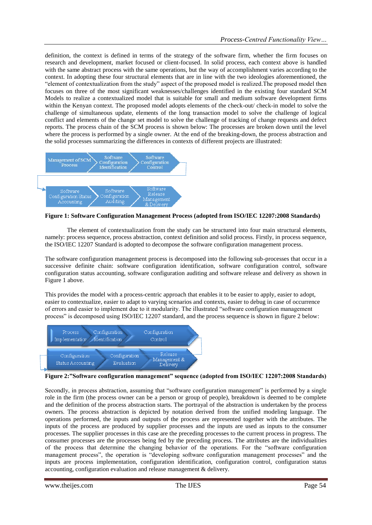definition, the context is defined in terms of the strategy of the software firm, whether the firm focuses on research and development, market focused or client-focused. In solid process, each context above is handled with the same abstract process with the same operations, but the way of accomplishment varies according to the context. In adopting these four structural elements that are in line with the two ideologies aforementioned, the "element of contextualization from the study" aspect of the proposed model is realized.The proposed model then focuses on three of the most significant weaknesses/challenges identified in the existing four standard SCM Models to realize a contextualized model that is suitable for small and medium software development firms within the Kenyan context. The proposed model adopts elements of the check-out/ check-in model to solve the challenge of simultaneous update, elements of the long transaction model to solve the challenge of logical conflict and elements of the change set model to solve the challenge of tracking of change requests and defect reports. The process chain of the SCM process is shown below: The processes are broken down until the level where the process is performed by a single owner. At the end of the breaking-down, the process abstraction and the solid processes summarizing the differences in contexts of different projects are illustrated:



**Figure 1: Software Configuration Management Process (adopted from ISO/IEC 12207:2008 Standards)**

The element of contextualization from the study can be structured into four main structural elements, namely: process sequence, process abstraction, context definition and solid process. Firstly, in process sequence, the ISO/IEC 12207 Standard is adopted to decompose the software configuration management process.

The software configuration management process is decomposed into the following sub-processes that occur in a successive definite chain: software configuration identification, software configuration control, software configuration status accounting, software configuration auditing and software release and delivery as shown in Figure 1 above.

This provides the model with a process-centric approach that enables it to be easier to apply, easier to adopt, easier to contextualize, easier to adapt to varying scenarios and contexts, easier to debug in case of occurrence of errors and easier to implement due to it modularity. The illustrated "software configuration management process" is decomposed using ISO/IEC 12207 standard, and the process sequence is shown in figure 2 below:



**Figure 2:"Software configuration management" sequence (adopted from ISO/IEC 12207:2008 Standards)**

Secondly, in process abstraction, assuming that "software configuration management" is performed by a single role in the firm (the process owner can be a person or group of people), breakdown is deemed to be complete and the definition of the process abstraction starts. The portrayal of the abstraction is undertaken by the process owners. The process abstraction is depicted by notation derived from the unified modeling language. The operations performed, the inputs and outputs of the process are represented together with the attributes. The inputs of the process are produced by supplier processes and the inputs are used as inputs to the consumer processes. The supplier processes in this case are the preceding processes to the current process in progress. The consumer processes are the processes being fed by the preceding process. The attributes are the individualities of the process that determine the changing behavior of the operations. For the "software configuration management process", the operation is "developing software configuration management processes" and the inputs are process implementation, configuration identification, configuration control, configuration status accounting, configuration evaluation and release management & delivery.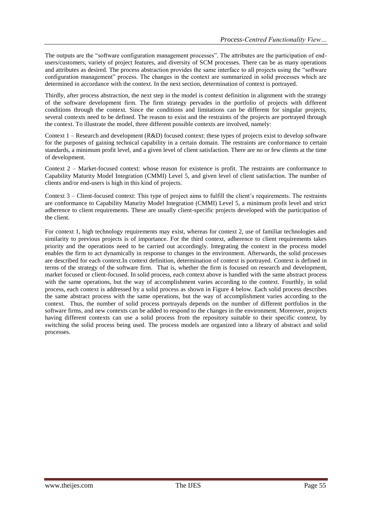The outputs are the "software configuration management processes". The attributes are the participation of endusers/customers, variety of project features, and diversity of SCM processes. There can be as many operations and attributes as desired. The process abstraction provides the same interface to all projects using the "software configuration management" process. The changes in the context are summarized in solid processes which are determined in accordance with the context. In the next section, determination of context is portrayed.

Thirdly, after process abstraction, the next step in the model is context definition in alignment with the strategy of the software development firm. The firm strategy pervades in the portfolio of projects with different conditions through the context. Since the conditions and limitations can be different for singular projects, several contexts need to be defined. The reason to exist and the restraints of the projects are portrayed through the context. To illustrate the model, three different possible contexts are involved, namely:

Context 1 – Research and development (R&D) focused context: these types of projects exist to develop software for the purposes of gaining technical capability in a certain domain. The restraints are conformance to certain standards, a minimum profit level, and a given level of client satisfaction. There are no or few clients at the time of development.

Context 2 – Market-focused context: whose reason for existence is profit. The restraints are conformance to Capability Maturity Model Integration (CMMI) Level 5, and given level of client satisfaction. The number of clients and/or end-users is high in this kind of projects.

Context 3 – Client-focused context: This type of project aims to fulfill the client's requirements. The restraints are conformance to Capability Maturity Model Integration (CMMI) Level 5, a minimum profit level and strict adherence to client requirements. These are usually client-specific projects developed with the participation of the client.

For context 1, high technology requirements may exist, whereas for context 2, use of familiar technologies and similarity to previous projects is of importance. For the third context, adherence to client requirements takes priority and the operations need to be carried out accordingly. Integrating the context in the process model enables the firm to act dynamically in response to changes in the environment. Afterwards, the solid processes are described for each context.In context definition, determination of context is portrayed. Context is defined in terms of the strategy of the software firm. That is, whether the firm is focused on research and development, market focused or client-focused. In solid process, each context above is handled with the same abstract process with the same operations, but the way of accomplishment varies according to the context. Fourthly, in solid process, each context is addressed by a solid process as shown in Figure 4 below. Each solid process describes the same abstract process with the same operations, but the way of accomplishment varies according to the context. Thus, the number of solid process portrayals depends on the number of different portfolios in the software firms, and new contexts can be added to respond to the changes in the environment. Moreover, projects having different contexts can use a solid process from the repository suitable to their specific context, by switching the solid process being used. The process models are organized into a library of abstract and solid processes.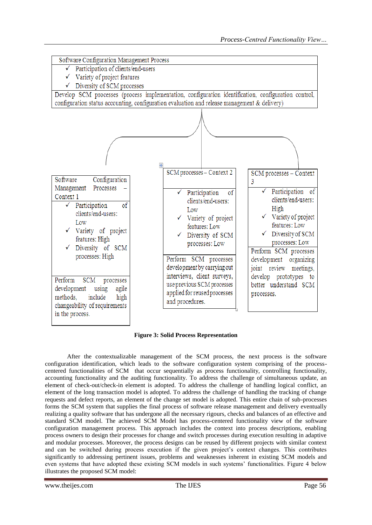

**Figure 3: Solid Process Representation** 

After the contextualizable management of the SCM process, the next process is the software configuration identification, which leads to the software configuration system comprising of the processcentered functionalities of SCM that occur sequentially as process functionality, controlling functionality, accounting functionality and the auditing functionality. To address the challenge of simultaneous update, an element of check-out/check-in element is adopted. To address the challenge of handling logical conflict, an element of the long transaction model is adopted. To address the challenge of handling the tracking of change requests and defect reports, an element of the change set model is adopted. This entire chain of sub-processes forms the SCM system that supplies the final process of software release management and delivery eventually realizing a quality software that has undergone all the necessary rigours, checks and balances of an effective and standard SCM model. The achieved SCM Model has process-centered functionality view of the software configuration management process. This approach includes the context into process descriptions, enabling process owners to design their processes for change and switch processes during execution resulting in adaptive and modular processes. Moreover, the process designs can be reused by different projects with similar context and can be switched during process execution if the given project's context changes. This contributes significantly to addressing pertinent issues, problems and weaknesses inherent in existing SCM models and even systems that have adopted these existing SCM models in such systems' functionalities. Figure 4 below illustrates the proposed SCM model: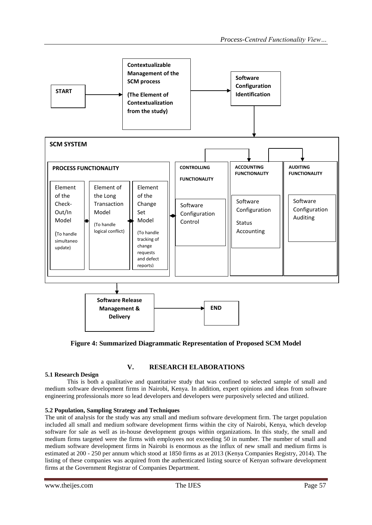

**Figure 4: Summarized Diagrammatic Representation of Proposed SCM Model**

# **V. RESEARCH ELABORATIONS**

### **5.1 Research Design**

This is both a qualitative and quantitative study that was confined to selected sample of small and medium software development firms in Nairobi, Kenya. In addition, expert opinions and ideas from software engineering professionals more so lead developers and developers were purposively selected and utilized.

### **5.2 Population, Sampling Strategy and Techniques**

The unit of analysis for the study was any small and medium software development firm. The target population included all small and medium software development firms within the city of Nairobi, Kenya, which develop software for sale as well as in-house development groups within organizations. In this study, the small and medium firms targeted were the firms with employees not exceeding 50 in number. The number of small and medium software development firms in Nairobi is enormous as the influx of new small and medium firms is estimated at 200 - 250 per annum which stood at 1850 firms as at 2013 (Kenya Companies Registry, 2014). The listing of these companies was acquired from the authenticated listing source of Kenyan software development firms at the Government Registrar of Companies Department.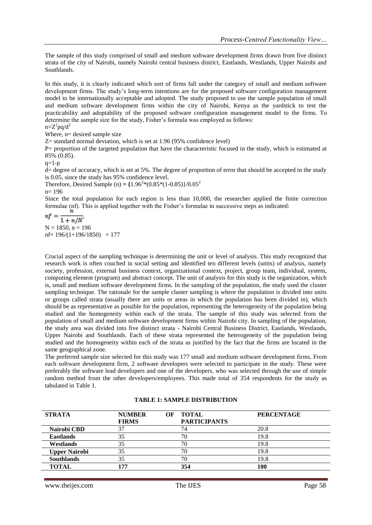The sample of this study comprised of small and medium software development firms drawn from five distinct strata of the city of Nairobi, namely Nairobi central business district, Eastlands, Westlands, Upper Nairobi and Southlands.

In this study, it is clearly indicated which sort of firms fall under the category of small and medium software development firms. The study's long-term intentions are for the proposed software configuration management model to be internationally acceptable and adopted. The study proposed to use the sample population of small and medium software development firms within the city of Nairobi, Kenya as the yardstick to test the practicability and adoptability of the proposed software configuration management model to the firms. To determine the sample size for the study, Fisher's formula was employed as follows:

 $n = Z^2 pq/d^2$ 

Where,  $n=$  desired sample size

Z= standard normal deviation, which is set at 1.96 (95% confidence level)

P= proportion of the targeted population that have the characteristic focused in the study, which is estimated at 85% (0.85).

 $q=1-p$ 

d= degree of accuracy, which is set at 5%. The degree of proportion of error that should be accepted in the study is 0.05, since the study has 95% confidence level.

Therefore, Desired Sample (n) =  $\{1.96^{2}*(0.85*(1-0.85)\}/0.05^{2})$ 

n= 196

Since the total population for each region is less than 10,000, the researcher applied the finite correction formulae (nf). This is applied together with the Fisher's formulae in successive steps as indicated:

 $nf =$  $\frac{1 + n}{N}$  $N = 1850$ ,  $n = 196$  $nf = 196/(1+196/1850) = 177$ 

Crucial aspect of the sampling technique is determining the unit or level of analysis. This study recognized that research work is often couched in social setting and identified ten different levels (units) of analysis, namely society, profession, external business context, organizational context, project, group team, individual, system, computing element (program) and abstract concept. The unit of analysis for this study is the organization, which is, small and medium software development firms. In the sampling of the population, the study used the cluster sampling technique. The rationale for the sample cluster sampling is where the population is divided into units or groups called strata (usually there are units or areas in which the population has been divided in), which should be as representative as possible for the population, representing the heterogeneity of the population being studied and the homogeneity within each of the strata. The sample of this study was selected from the population of small and medium software development firms within Nairobi city. In sampling of the population, the study area was divided into five distinct strata - Nairobi Central Business District, Eastlands, Westlands, Upper Nairobi and Southlands. Each of these strata represented the heterogeneity of the population being studied and the homogeneity within each of the strata as justified by the fact that the firms are located in the same geographical zone.

The preferred sample size selected for this study was 177 small and medium software development firms. From each software development firm, 2 software developers were selected to participate in the study. These were preferably the software lead developers and one of the developers, who was selected through the use of simple random method from the other developers/employees. This made total of 354 respondents for the study as tabulated in Table 1.

| <b>STRATA</b>        | <b>NUMBER</b><br><b>FIRMS</b> | <b>TOTAL</b><br>OF<br><b>PARTICIPANTS</b> | <b>PERCENTAGE</b> |
|----------------------|-------------------------------|-------------------------------------------|-------------------|
| Nairobi CBD          | 37                            |                                           | 20.8              |
| <b>Eastlands</b>     | 35                            | 70                                        | 19.8              |
| Westlands            | 35                            | 70                                        | 19.8              |
| <b>Upper Nairobi</b> | 35                            |                                           | 19.8              |
| <b>Southlands</b>    | 35                            | 70                                        | 19.8              |
| TOTAL                | 177                           | 354                                       | 100               |

### **TABLE 1: SAMPLE DISTRIBUTION**

www.theijes.com The IJES Page 58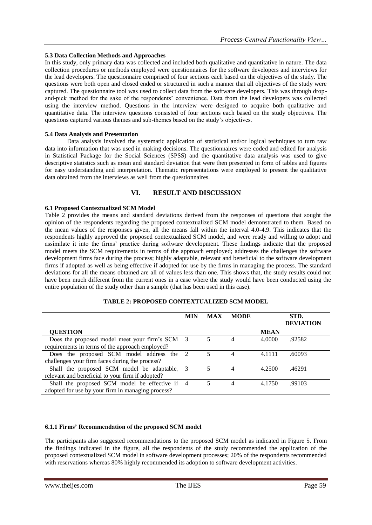### **5.3 Data Collection Methods and Approaches**

In this study, only primary data was collected and included both qualitative and quantitative in nature. The data collection procedures or methods employed were questionnaires for the software developers and interviews for the lead developers. The questionnaire comprised of four sections each based on the objectives of the study. The questions were both open and closed ended or structured in such a manner that all objectives of the study were captured. The questionnaire tool was used to collect data from the software developers. This was through dropand-pick method for the sake of the respondents' convenience. Data from the lead developers was collected using the interview method. Questions in the interview were designed to acquire both qualitative and quantitative data. The interview questions consisted of four sections each based on the study objectives. The questions captured various themes and sub-themes based on the study's objectives.

### **5.4 Data Analysis and Presentation**

Data analysis involved the systematic application of statistical and/or logical techniques to turn raw data into information that was used in making decisions. The questionnaires were coded and edited for analysis in Statistical Package for the Social Sciences (SPSS) and the quantitative data analysis was used to give descriptive statistics such as mean and standard deviation that were then presented in form of tables and figures for easy understanding and interpretation. Thematic representations were employed to present the qualitative data obtained from the interviews as well from the questionnaires.

### **VI. RESULT AND DISCUSSION**

#### **6.1 Proposed Contextualized SCM Model**

Table 2 provides the means and standard deviations derived from the responses of questions that sought the opinion of the respondents regarding the proposed contextualized SCM model demonstrated to them. Based on the mean values of the responses given, all the means fall within the interval 4.0-4.9. This indicates that the respondents highly approved the proposed contextualized SCM model, and were ready and willing to adopt and assimilate it into the firms' practice during software development. These findings indicate that the proposed model meets the SCM requirements in terms of the approach employed; addresses the challenges the software development firms face during the process; highly adaptable, relevant and beneficial to the software development firms if adopted as well as being effective if adopted for use by the firms in managing the process. The standard deviations for all the means obtained are all of values less than one. This shows that, the study results could not have been much different from the current ones in a case where the study would have been conducted using the entire population of the study other than a sample (that has been used in this case).

|                                                   | <b>MIN</b>    | <b>MAX</b> | <b>MODE</b> |             | STD.<br><b>DEVIATION</b> |
|---------------------------------------------------|---------------|------------|-------------|-------------|--------------------------|
| <b>QUESTION</b>                                   |               |            |             | <b>MEAN</b> |                          |
| Does the proposed model meet your firm's SCM 3    |               |            |             | 4.0000      | .92582                   |
| requirements in terms of the approach employed?   |               |            |             |             |                          |
| Does the proposed SCM model address the 2         |               |            | 4           | 4.1111      | .60093                   |
| challenges your firm faces during the process?    |               |            |             |             |                          |
| Shall the proposed SCM model be adaptable.        | $\mathcal{E}$ |            | 4           | 4.2500      | .46291                   |
| relevant and beneficial to your firm if adopted?  |               |            |             |             |                          |
| Shall the proposed SCM model be effective if 4    |               |            | 4           | 4.1750      | .99103                   |
| adopted for use by your firm in managing process? |               |            |             |             |                          |

### **TABLE 2: PROPOSED CONTEXTUALIZED SCM MODEL**

#### **6.1.1 Firms' Recommendation of the proposed SCM model**

The participants also suggested recommendations to the proposed SCM model as indicated in Figure 5. From the findings indicated in the figure, all the respondents of the study recommended the application of the proposed contextualized SCM model in software development processes; 20% of the respondents recommended with reservations whereas 80% highly recommended its adoption to software development activities.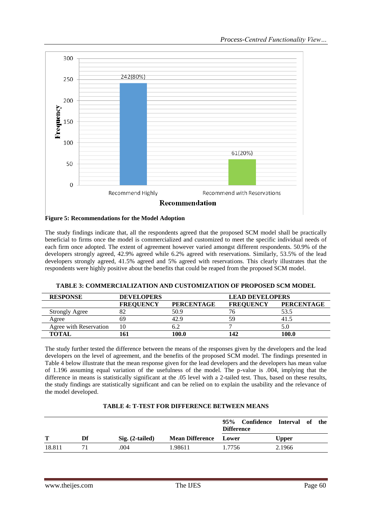



The study findings indicate that, all the respondents agreed that the proposed SCM model shall be practically beneficial to firms once the model is commercialized and customized to meet the specific individual needs of each firm once adopted. The extent of agreement however varied amongst different respondents. 50.9% of the developers strongly agreed, 42.9% agreed while 6.2% agreed with reservations. Similarly, 53.5% of the lead developers strongly agreed, 41.5% agreed and 5% agreed with reservations. This clearly illustrates that the respondents were highly positive about the benefits that could be reaped from the proposed SCM model.

| <b>RESPONSE</b>        | <b>DEVELOPERS</b> |                   | <b>LEAD DEVELOPERS</b> |                   |  |
|------------------------|-------------------|-------------------|------------------------|-------------------|--|
|                        | <b>FREOUENCY</b>  | <b>PERCENTAGE</b> | <b>FREOUENCY</b>       | <b>PERCENTAGE</b> |  |
| <b>Strongly Agree</b>  |                   | 50.9              |                        | 53.5              |  |
| Agree                  |                   | 42.9              | 59                     |                   |  |
| Agree with Reservation |                   |                   |                        |                   |  |
| <b>TOTAL</b>           |                   | 100 A             | 142                    | 100.0             |  |

**TABLE 3: COMMERCIALIZATION AND CUSTOMIZATION OF PROPOSED SCM MODEL**

The study further tested the difference between the means of the responses given by the developers and the lead developers on the level of agreement, and the benefits of the proposed SCM model. The findings presented in Table 4 below illustrate that the mean response given for the lead developers and the developers has mean value of 1.196 assuming equal variation of the usefulness of the model. The p-value is .004, implying that the difference in means is statistically significant at the .05 level with a 2-tailed test. Thus, based on these results, the study findings are statistically significant and can be relied on to explain the usability and the relevance of the model developed.

### **TABLE 4: T-TEST FOR DIFFERENCE BETWEEN MEANS**

|        |    |                   |                        | 95%<br>Confidence Interval of<br><b>Difference</b> |  |              | the |
|--------|----|-------------------|------------------------|----------------------------------------------------|--|--------------|-----|
| т      | Df | $Sig. (2-tailed)$ | <b>Mean Difference</b> | Lower                                              |  | <b>Upper</b> |     |
| 18.811 |    | .004              | 1.98611                | 1.7756                                             |  | 2.1966       |     |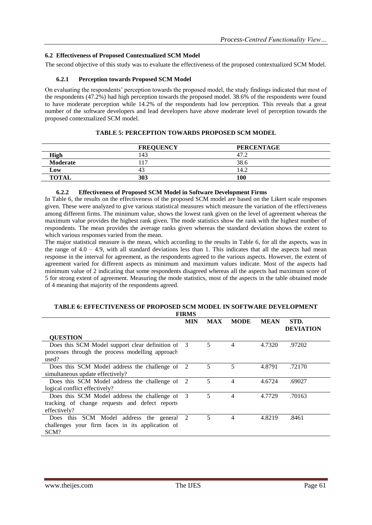#### **6.2 Effectiveness of Proposed Contextualized SCM Model**

The second objective of this study was to evaluate the effectiveness of the proposed contextualized SCM Model.

#### **6.2.1 Perception towards Proposed SCM Model**

On evaluating the respondents' perception towards the proposed model, the study findings indicated that most of the respondents (47.2%) had high perception towards the proposed model. 38.6% of the respondents were found to have moderate perception while 14.2% of the respondents had low perception. This reveals that a great number of the software developers and lead developers have above moderate level of perception towards the proposed contextualized SCM model.

|              | <b>FREQUENCY</b> | <b>PERCENTAGE</b> |
|--------------|------------------|-------------------|
| <b>High</b>  | -43              | 47.4              |
| Moderate     | 1 <sub>7</sub>   | 38.6              |
| Low          | 45               | 14.2              |
| <b>TOTAL</b> | 303              | 100               |

#### **TABLE 5: PERCEPTION TOWARDS PROPOSED SCM MODEL**

#### **6.2.2 Effectiveness of Proposed SCM Model in Software Development Firms**

In Table 6, the results on the effectiveness of the proposed SCM model are based on the Likert scale responses given. These were analyzed to give various statistical measures which measure the variation of the effectiveness among different firms. The minimum value, shows the lowest rank given on the level of agreement whereas the maximum value provides the highest rank given. The mode statistics show the rank with the highest number of respondents. The mean provides the average ranks given whereas the standard deviation shows the extent to which various responses varied from the mean.

The major statistical measure is the mean, which according to the results in Table 6, for all the aspects, was in the range of  $4.0 - 4.9$ , with all standard deviations less than 1. This indicates that all the aspects had mean response in the interval for agreement, as the respondents agreed to the various aspects. However, the extent of agreement varied for different aspects as minimum and maximum values indicate. Most of the aspects had minimum value of 2 indicating that some respondents disagreed whereas all the aspects had maximum score of 5 for strong extent of agreement. Measuring the mode statistics, most of the aspects in the table obtained mode of 4 meaning that majority of the respondents agreed.

#### **TABLE 6: EFFECTIVENESS OF PROPOSED SCM MODEL IN SOFTWARE DEVELOPMENT FIRMS**

|                                                   | <b>MIN</b> | <b>MAX</b> | <b>MODE</b> | <b>MEAN</b> | STD.<br><b>DEVIATION</b> |
|---------------------------------------------------|------------|------------|-------------|-------------|--------------------------|
| <b>QUESTION</b>                                   |            |            |             |             |                          |
| Does this SCM Model support clear definition of 3 |            | 5.         | 4           | 4.7320      | .97202                   |
| processes through the process modelling approach  |            |            |             |             |                          |
| used?                                             |            |            |             |             |                          |
| Does this SCM Model address the challenge of 2    |            | 5          | 5           | 4.8791      | .72170                   |
| simultaneous update effectively?                  |            |            |             |             |                          |
| Does this SCM Model address the challenge of      | 2          | 5          | 4           | 4.6724      | .69027                   |
| logical conflict effectively?                     |            |            |             |             |                          |
| Does this SCM Model address the challenge of 3    |            | 5          | 4           | 4.7729      | .70163                   |
| tracking of change requests and defect reports    |            |            |             |             |                          |
| effectively?                                      |            |            |             |             |                          |
| Does this SCM Model address the general 2         |            | 5          | 4           | 4.8219      | .8461                    |
| challenges your firm faces in its application of  |            |            |             |             |                          |
| SCM?                                              |            |            |             |             |                          |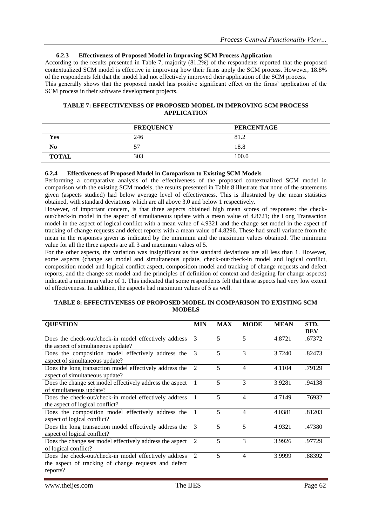#### **6.2.3 Effectiveness of Proposed Model in Improving SCM Process Application**

According to the results presented in Table 7, majority (81.2%) of the respondents reported that the proposed contextualized SCM model is effective in improving how their firms apply the SCM process. However, 18.8% of the respondents felt that the model had not effectively improved their application of the SCM process. This generally shows that the proposed model has positive significant effect on the firms' application of the SCM process in their software development projects.

#### **TABLE 7: EFFECTIVENESS OF PROPOSED MODEL IN IMPROVING SCM PROCESS APPLICATION**

|                | <b>FREQUENCY</b> | <b>PERCENTAGE</b> |
|----------------|------------------|-------------------|
| Yes            | 246              | 81.2              |
| N <sub>0</sub> |                  | 18.8              |
| <b>TOTAL</b>   | 303              | 100.0             |

#### **6.2.4 Effectiveness of Proposed Model in Comparison to Existing SCM Models**

Performing a comparative analysis of the effectiveness of the proposed contextualized SCM model in comparison with the existing SCM models, the results presented in Table 8 illustrate that none of the statements given (aspects studied) had below average level of effectiveness. This is illustrated by the mean statistics obtained, with standard deviations which are all above 3.0 and below 1 respectively.

However, of important concern, is that three aspects obtained high mean scores of responses: the checkout/check-in model in the aspect of simultaneous update with a mean value of 4.8721; the Long Transaction model in the aspect of logical conflict with a mean value of 4.9321 and the change set model in the aspect of tracking of change requests and defect reports with a mean value of 4.8296. These had small variance from the mean in the responses given as indicated by the minimum and the maximum values obtained. The minimum value for all the three aspects are all 3 and maximum values of 5.

For the other aspects, the variation was insignificant as the standard deviations are all less than 1. However, some aspects (change set model and simultaneous update, check-out/check-in model and logical conflict, composition model and logical conflict aspect, composition model and tracking of change requests and defect reports, and the change set model and the principles of definition of context and designing for change aspects) indicated a minimum value of 1. This indicated that some respondents felt that these aspects had very low extent of effectiveness. In addition, the aspects had maximum values of 5 as well.

#### **TABLE 8: EFFECTIVENESS OF PROPOSED MODEL IN COMPARISON TO EXISTING SCM MODELS**

| <b>QUESTION</b>                                          | <b>MIN</b>    | <b>MAX</b> | <b>MODE</b> | <b>MEAN</b> | STD.<br><b>DEV</b> |
|----------------------------------------------------------|---------------|------------|-------------|-------------|--------------------|
| Does the check-out/check-in model effectively address    | 3             | 5          | 5           | 4.8721      | .67372             |
| the aspect of simultaneous update?                       |               |            |             |             |                    |
| Does the composition model effectively address the       | $\mathcal{R}$ | 5          | 3           | 3.7240      | .82473             |
| aspect of simultaneous update?                           |               |            |             |             |                    |
| Does the long transaction model effectively address the  | 2             | 5          | 4           | 4.1104      | .79129             |
| aspect of simultaneous update?                           |               |            |             |             |                    |
| Does the change set model effectively address the aspect | 1             | 5          | 3           | 3.9281      | .94138             |
| of simultaneous update?                                  |               |            |             |             |                    |
| Does the check-out/check-in model effectively address    |               | 5          | 4           | 4.7149      | .76932             |
| the aspect of logical conflict?                          |               |            |             |             |                    |
| Does the composition model effectively address the       | -1            | 5          | 4           | 4.0381      | .81203             |
| aspect of logical conflict?                              |               |            |             |             |                    |
| Does the long transaction model effectively address the  | $\mathcal{R}$ | 5          | 5           | 4.9321      | .47380             |
| aspect of logical conflict?                              |               |            |             |             |                    |
| Does the change set model effectively address the aspect | 2             | 5          | 3           | 3.9926      | .97729             |
| of logical conflict?                                     |               |            |             |             |                    |
| Does the check-out/check-in model effectively address    | 2             | 5          | 4           | 3.9999      | .88392             |
| the aspect of tracking of change requests and defect     |               |            |             |             |                    |
| reports?                                                 |               |            |             |             |                    |
|                                                          |               |            |             |             |                    |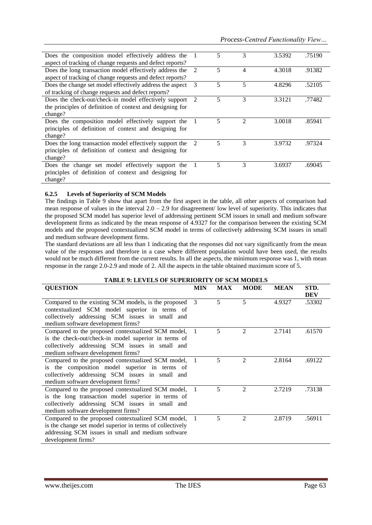| Does the composition model effectively address the        |                             | 5                        | 3 | 3.5392 | .75190 |
|-----------------------------------------------------------|-----------------------------|--------------------------|---|--------|--------|
| aspect of tracking of change requests and defect reports? |                             |                          |   |        |        |
| Does the long transaction model effectively address the   | $\mathcal{L}$               | 5                        | 4 | 4.3018 | .91382 |
| aspect of tracking of change requests and defect reports? |                             |                          |   |        |        |
| Does the change set model effectively address the aspect  | 3                           | 5                        | 5 | 4.8296 | .52105 |
| of tracking of change requests and defect reports?        |                             |                          |   |        |        |
| Does the check-out/check-in model effectively support     | $\mathcal{D}$               | 5                        | 3 | 3.3121 | .77482 |
| the principles of definition of context and designing for |                             |                          |   |        |        |
| change?                                                   |                             |                          |   |        |        |
| Does the composition model effectively support the        |                             | 5                        | 2 | 3.0018 | .85941 |
| principles of definition of context and designing for     |                             |                          |   |        |        |
| change?                                                   |                             |                          |   |        |        |
| Does the long transaction model effectively support the   | $\mathcal{D}_{\mathcal{A}}$ | $\overline{\phantom{0}}$ | 3 | 3.9732 | .97324 |
| principles of definition of context and designing for     |                             |                          |   |        |        |
| change?                                                   |                             |                          |   |        |        |
| Does the change set model effectively support the         |                             | $\overline{\mathbf{5}}$  | 3 | 3.6937 | .69045 |
| principles of definition of context and designing for     |                             |                          |   |        |        |
| change?                                                   |                             |                          |   |        |        |

### **6.2.5 Levels of Superiority of SCM Models**

The findings in Table 9 show that apart from the first aspect in the table, all other aspects of comparison had mean response of values in the interval  $2.0 - 2.9$  for disagreement/ low level of superiority. This indicates that the proposed SCM model has superior level of addressing pertinent SCM issues in small and medium software development firms as indicated by the mean response of 4.9327 for the comparison between the existing SCM models and the proposed contextualized SCM model in terms of collectively addressing SCM issues in small and medium software development firms.

The standard deviations are all less than 1 indicating that the responses did not vary significantly from the mean value of the responses and therefore in a case where different population would have been used, the results would not be much different from the current results. In all the aspects, the minimum response was 1, with mean response in the range 2.0-2.9 and mode of 2. All the aspects in the table obtained maximum score of 5.

| <b>TABLE 9: LEVELS OF SUPERIORITY OF SCM MODELS</b>       |                |            |                |             |                    |  |  |  |  |
|-----------------------------------------------------------|----------------|------------|----------------|-------------|--------------------|--|--|--|--|
| <b>QUESTION</b>                                           | <b>MIN</b>     | <b>MAX</b> | <b>MODE</b>    | <b>MEAN</b> | STD.<br><b>DEV</b> |  |  |  |  |
| Compared to the existing SCM models, is the proposed      | 3              | 5          | 5              | 4.9327      | .53302             |  |  |  |  |
| contextualized SCM model superior in terms of             |                |            |                |             |                    |  |  |  |  |
| collectively addressing SCM issues in small and           |                |            |                |             |                    |  |  |  |  |
| medium software development firms?                        |                |            |                |             |                    |  |  |  |  |
| Compared to the proposed contextualized SCM model, 1      |                | 5          | 2              | 2.7141      | .61570             |  |  |  |  |
| is the check-out/check-in model superior in terms of      |                |            |                |             |                    |  |  |  |  |
| collectively addressing SCM issues in small and           |                |            |                |             |                    |  |  |  |  |
| medium software development firms?                        |                |            |                |             |                    |  |  |  |  |
| Compared to the proposed contextualized SCM model,        | -1             | 5          | $\overline{2}$ | 2.8164      | .69122             |  |  |  |  |
| is the composition model superior in terms of             |                |            |                |             |                    |  |  |  |  |
| collectively addressing SCM issues in small and           |                |            |                |             |                    |  |  |  |  |
| medium software development firms?                        |                |            |                |             |                    |  |  |  |  |
| Compared to the proposed contextualized SCM model, 1      |                | 5          | $\overline{2}$ | 2.7219      | .73138             |  |  |  |  |
| is the long transaction model superior in terms of        |                |            |                |             |                    |  |  |  |  |
| collectively addressing SCM issues in small and           |                |            |                |             |                    |  |  |  |  |
| medium software development firms?                        |                |            |                |             |                    |  |  |  |  |
| Compared to the proposed contextualized SCM model,        | $\overline{1}$ | 5          | $\mathfrak{D}$ | 2.8719      | .56911             |  |  |  |  |
| is the change set model superior in terms of collectively |                |            |                |             |                    |  |  |  |  |
| addressing SCM issues in small and medium software        |                |            |                |             |                    |  |  |  |  |
| development firms?                                        |                |            |                |             |                    |  |  |  |  |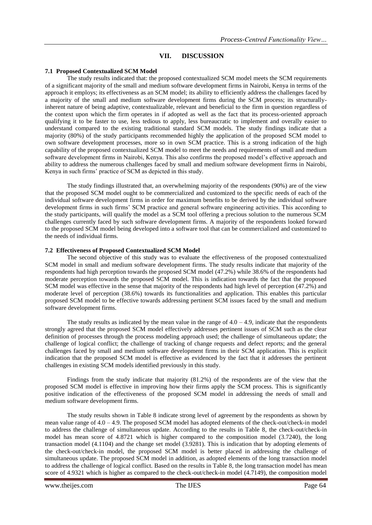### **VII. DISCUSSION**

### **7.1 Proposed Contextualized SCM Model**

The study results indicated that: the proposed contextualized SCM model meets the SCM requirements of a significant majority of the small and medium software development firms in Nairobi, Kenya in terms of the approach it employs; its effectiveness as an SCM model; its ability to efficiently address the challenges faced by a majority of the small and medium software development firms during the SCM process; its structurallyinherent nature of being adaptive, contextualizable, relevant and beneficial to the firm in question regardless of the context upon which the firm operates in if adopted as well as the fact that its process-oriented approach qualifying it to be faster to use, less tedious to apply, less bureaucratic to implement and overally easier to understand compared to the existing traditional standard SCM models. The study findings indicate that a majority (80%) of the study participants recommended highly the application of the proposed SCM model to own software development processes, more so in own SCM practice. This is a strong indication of the high capability of the proposed contextualized SCM model to meet the needs and requirements of small and medium software development firms in Nairobi, Kenya. This also confirms the proposed model's effective approach and ability to address the numerous challenges faced by small and medium software development firms in Nairobi, Kenya in such firms' practice of SCM as depicted in this study.

The study findings illustrated that, an overwhelming majority of the respondents (90%) are of the view that the proposed SCM model ought to be commercialized and customized to the specific needs of each of the individual software development firms in order for maximum benefits to be derived by the individual software development firms in such firms' SCM practice and general software engineering activities. This according to the study participants, will qualify the model as a SCM tool offering a precious solution to the numerous SCM challenges currently faced by such software development firms. A majority of the respondents looked forward to the proposed SCM model being developed into a software tool that can be commercialized and customized to the needs of individual firms.

#### **7.2 Effectiveness of Proposed Contextualized SCM Model**

The second objective of this study was to evaluate the effectiveness of the proposed contextualized SCM model in small and medium software development firms. The study results indicate that majority of the respondents had high perception towards the proposed SCM model (47.2%) while 38.6% of the respondents had moderate perception towards the proposed SCM model. This is indication towards the fact that the proposed SCM model was effective in the sense that majority of the respondents had high level of perception (47.2%) and moderate level of perception (38.6%) towards its functionalities and application. This enables this particular proposed SCM model to be effective towards addressing pertinent SCM issues faced by the small and medium software development firms.

The study results as indicated by the mean value in the range of  $4.0 - 4.9$ , indicate that the respondents strongly agreed that the proposed SCM model effectively addresses pertinent issues of SCM such as the clear definition of processes through the process modeling approach used; the challenge of simultaneous update; the challenge of logical conflict; the challenge of tracking of change requests and defect reports; and the general challenges faced by small and medium software development firms in their SCM application. This is explicit indication that the proposed SCM model is effective as evidenced by the fact that it addresses the pertinent challenges in existing SCM models identified previously in this study.

Findings from the study indicate that majority (81.2%) of the respondents are of the view that the proposed SCM model is effective in improving how their firms apply the SCM process. This is significantly positive indication of the effectiveness of the proposed SCM model in addressing the needs of small and medium software development firms.

The study results shown in Table 8 indicate strong level of agreement by the respondents as shown by mean value range of 4.0 – 4.9. The proposed SCM model has adopted elements of the check-out/check-in model to address the challenge of simultaneous update. According to the results in Table 8, the check-out/check-in model has mean score of 4.8721 which is higher compared to the composition model (3.7240), the long transaction model (4.1104) and the change set model (3.9281). This is indication that by adopting elements of the check-out/check-in model, the proposed SCM model is better placed in addressing the challenge of simultaneous update. The proposed SCM model in addition, as adopted elements of the long transaction model to address the challenge of logical conflict. Based on the results in Table 8, the long transaction model has mean score of 4.9321 which is higher as compared to the check-out/check-in model (4.7149), the composition model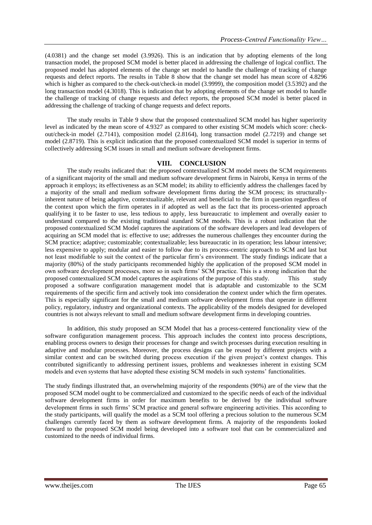(4.0381) and the change set model (3.9926). This is an indication that by adopting elements of the long transaction model, the proposed SCM model is better placed in addressing the challenge of logical conflict. The proposed model has adopted elements of the change set model to handle the challenge of tracking of change requests and defect reports. The results in Table 8 show that the change set model has mean score of 4.8296 which is higher as compared to the check-out/check-in model (3.9999), the composition model (3.5392) and the long transaction model (4.3018). This is indication that by adopting elements of the change set model to handle the challenge of tracking of change requests and defect reports, the proposed SCM model is better placed in addressing the challenge of tracking of change requests and defect reports.

The study results in Table 9 show that the proposed contextualized SCM model has higher superiority level as indicated by the mean score of 4.9327 as compared to other existing SCM models which score: checkout/check-in model (2.7141), composition model (2.8164), long transaction model (2.7219) and change set model (2.8719). This is explicit indication that the proposed contextualized SCM model is superior in terms of collectively addressing SCM issues in small and medium software development firms.

### **VIII. CONCLUSION**

The study results indicated that: the proposed contextualized SCM model meets the SCM requirements of a significant majority of the small and medium software development firms in Nairobi, Kenya in terms of the approach it employs; its effectiveness as an SCM model; its ability to efficiently address the challenges faced by a majority of the small and medium software development firms during the SCM process; its structurallyinherent nature of being adaptive, contextualizable, relevant and beneficial to the firm in question regardless of the context upon which the firm operates in if adopted as well as the fact that its process-oriented approach qualifying it to be faster to use, less tedious to apply, less bureaucratic to implement and overally easier to understand compared to the existing traditional standard SCM models. This is a robust indication that the proposed contextualized SCM Model captures the aspirations of the software developers and lead developers of acquiring an SCM model that is: effective to use; addresses the numerous challenges they encounter during the SCM practice; adaptive; customizable; contextualizable; less bureaucratic in its operation; less labour intensive; less expensive to apply; modular and easier to follow due to its process-centric approach to SCM and last but not least modifiable to suit the context of the particular firm's environment. The study findings indicate that a majority (80%) of the study participants recommended highly the application of the proposed SCM model in own software development processes, more so in such firms' SCM practice. This is a strong indication that the proposed contextualized SCM model captures the aspirations of the purpose of this study. This study proposed a software configuration management model that is adaptable and customizable to the SCM requirements of the specific firm and actively took into consideration the context under which the firm operates. This is especially significant for the small and medium software development firms that operate in different policy, regulatory, industry and organizational contexts. The applicability of the models designed for developed countries is not always relevant to small and medium software development firms in developing countries.

In addition, this study proposed an SCM Model that has a process-centered functionality view of the software configuration management process. This approach includes the context into process descriptions, enabling process owners to design their processes for change and switch processes during execution resulting in adaptive and modular processes. Moreover, the process designs can be reused by different projects with a similar context and can be switched during process execution if the given project's context changes. This contributed significantly to addressing pertinent issues, problems and weaknesses inherent in existing SCM models and even systems that have adopted these existing SCM models in such systems' functionalities.

The study findings illustrated that, an overwhelming majority of the respondents (90%) are of the view that the proposed SCM model ought to be commercialized and customized to the specific needs of each of the individual software development firms in order for maximum benefits to be derived by the individual software development firms in such firms' SCM practice and general software engineering activities. This according to the study participants, will qualify the model as a SCM tool offering a precious solution to the numerous SCM challenges currently faced by them as software development firms. A majority of the respondents looked forward to the proposed SCM model being developed into a software tool that can be commercialized and customized to the needs of individual firms.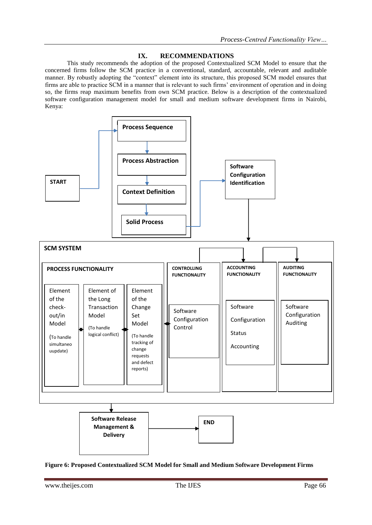### **IX. RECOMMENDATIONS**

This study recommends the adoption of the proposed Contextualized SCM Model to ensure that the concerned firms follow the SCM practice in a conventional, standard, accountable, relevant and auditable manner. By robustly adopting the "context" element into its structure, this proposed SCM model ensures that firms are able to practice SCM in a manner that is relevant to such firms' environment of operation and in doing so, the firms reap maximum benefits from own SCM practice. Below is a description of the contextualized software configuration management model for small and medium software development firms in Nairobi, Kenya:



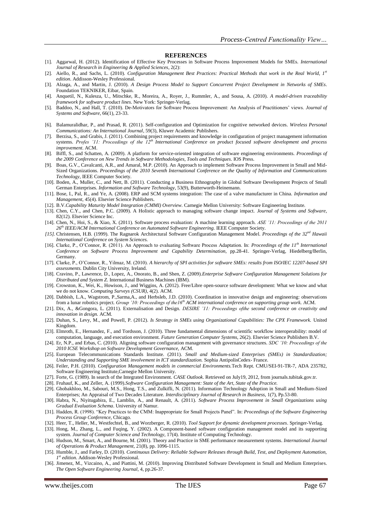#### **REFERENCES**

- [1]. Aggarwal, H. (2012). Identification of Effective Key Processes in Software Process Improvement Models for SMEs. *International Journal of Research in Engineering & Applied Sciences*, 2(2):
- [2]. Aiello, R., and Sachs, L. (2010). *Configuration Management Best Practices: Practical Methods that work in the Real World, 1st edition*. Addisson-Wesley Professional.
- [3]. Alzaga, A., and Martin, J. (2010). *A Design Process Model to Support Concurrent Project Development in Networks of SMEs*. Foundation TEKNIKER, Eibar, Spain.
- [4]. Anquetil, N., Kulesza, U., Mitschke, R., Moreira, A., Royer, J., Rummler, A., and Sousa, A. (2010). *A model-driven traceability framework for software product lines*. New York: Springer-Verlag.
- [5]. Baddoo, N., and Hall, T. (2010). De-Motivators for Software Process Improvement: An Analysis of Practitioners' views. *Journal of Systems and Software*, 66(1), 23-33.
- [6]. Balamuralidhar, P., and Prasad, R. (2011). Self-configuration and Optimization for cognitive networked devices. *Wireless Personal Communications: An International Journal*, 59(3), Kluwer Academic Publishers.
- [7]. Berzisa, S., and Grabis, J. (2011). Combining project requirements and knowledge in configuration of project management information systems. *Profes '11: Proceedings of the 12th International Conference on product focused software development and process improvement*. ACM.
- [8]. Biffl, S., and Schatten, A. (2009). A platform for service-oriented integration of software engineering environments. *Proceedings of the 2009 Conference on New Trends in Software Methodologies, Tools and Techniques*. IOS Press.
- [9]. Boas, G.V., Cavalcanti, A.R., and Amaral, M.P. (2010). An Approach to implement Software Process Improvement in Small and Mid-Sized Organizations. *Proceedings of the 2010 Seventh International Conference on the Quality of Information and Communications Technology*, IEEE Computer Society.
- [10]. Boden, A., Muller, C., and Nett, B. (2011). Conducting a Business Ethnography in Global Software Development Projects of Small German Enterprises. *Information and Software Technology*, 53(9), Butterworth-Heinemann.
- [11]. Bose, I., Pal, R., and Ye, A. (2008). ERP and SCM systems integration: The case of a valve manufacturer in China. *Information and Management*, 45(4). Elsevier Science Publishers.
- [12]. B.V.*Capability Maturity Model Integration (CMMI) Overview.* Carnegie Mellon University: Software Engineering Institute.
- [13]. Chen, C.Y., and Chen, P.C. (2009). A Holistic approach to managing software change impact. *Journal of Systems and Software*, 82(12). Elsevier Science Inc.
- [14]. Chen, N., Hoi, S., & Xiao, X. (2011). Software process evaluation: A machine learning approach. *ASE '11: Proceedings of the 2011 26th IEEE/ACM International Conference on Automated Software Engineering.* IEEE Computer Society.
- *[15].* Christensen, H.B. (1999). The Ragnarok Architectural Software Configuration Management Model. *Proceedings of the 32nd Hawaii International Conference on System Sciences.*
- [16]. Clarke, P., O'Connor, R. (2011). An Approach to evaluating Software Process Adaptation. In: *Proceedings of the 11th International Conference on Software Process Improvement and Capability Determination,* pp.28-41. Springer-Verlag, Hiedelberg/Berlin, Germany.
- [17]. Clarke, P., O'Connor, R., Yilmaz, M. (2010). *A hierarchy of SPI activities for software SMEs: results from ISO/IEC 12207-based SPI assessments.* Dublin City University, Ireland.
- [18]. Cravino, P., Lawrence, D., Lopez, A., Onorato, B., and Shen, Z. (2009).*Enterprise Software Configuration Management Solutions for Distributed and System Z*. International Business Machines (IBM).
- [19]. Crowston, K., Wei, K., Howison, J., and Wiggins, A. (2012). Free/Libre open-source software development: What we know and what we do not know. *Computing Surveys (CSUR)*, 4(2). ACM.
- [20]. Dabbish, L.A., Wagstrom, P.,Sarma,A., and Herbsleb, J.D. (2010). Coordination in innovative design and engineering: observations from a lunar robotics project. *Group '10: Proceedings of the16th ACM international conference on supporting group work.* ACM.
- [21]. Dix, A., &Gongora, L. (2011). Externalisation and Design. *DESIRE '11: Proceedings ofthe second conference on creativity and innovation in design.* ACM.
- [22]. Duhan, S., Levy, M., and Powell, P. (2012). *Is Strategy in SMEs using Organizational Capabilities: The CPX Framework.* United Kingdom.
- [23]. Elmroth, E., Hernandez, F., and Tordsson, J. (2010). Three fundamental dimensions of scientific workflow interoperability: model of computation, language, and execution environment. *Future Generation Computer Systems*, 26(2). Elsevier Science Publishers B.V.
- [24]. Er, N.P., and Erbas, C. (2010). Aligning software configuration management with governance structures. *SDC '10: Proceedings of the 2010 ICSE Workshop on Software Development Governance,* ACM.
- [25]. European Telecommunications Standards Institute. (2011). *Small and Medium-sized Enterprises (SMEs) in Standardization; Understanding and Supporting SME involvement in ICT standardization.* Sophia AntipolisCedex- France.
- [26]. Feiler, P.H. (2010). *Configuration Management models in commercial Environments.*Tech Rept. CMU/SEI-91-TR-7, ADA 235782, Software Engineering Institute,Carnegie Mellon University.
- [27]. Forte, G. (1989). In search of the Integrated Environment. *CASE Outlook*. Retrieved on July19, 2012, from journals.tubitak.gov.tr.
- [28]. Fruhauf, K., and Zeller, A. (1999).*Software Configuration Management: State of the Art, State of the Practice.*
- [29]. Ghobakhloo, M., Sabouri, M.S., Hong, T.S., and Zulkifli, N. (2011). Information Technology Adoption in Small and Medium-Sized Enterprises; An Appraisal of Two Decades Literature. *Interdisciplinary Journal of Research in Business,* 1(7), Pp.53-80.
- [30]. Habra, N., Niyitugabira, E., Lamblin, A., and Renault, A. (2011). *Software Process Improvement in Small Organizations using Gradual Evaluation Schema*. University of Namur.
- [31]. Hadden, R. (1998). "Key Practices to the CMM: Inappropriate for Small Projects Panel". In: *Proceedings of the Software Engineering Process Group Conference,* Chicago.
- [32]. Heer, T., Heller, M., Westfechtel, B., and Worzberger, R. (2010). *Tool Support for dynamic development processes*. Springer-Verlag.
- [33]. Hong, M., Zhang, L., and Fuqing, Y. (2002). A Component-based software configuration management model and its supporting system. *Journal of Computer Science and Technology*, 17(4). Institute of Computing Technology.
- [34]. Hudson, M., Smart, A., and Bourne, M. (2001). Theory and Practice in SME performance measurement systems. *International Journal of Operations & Product Management,* 21(8), pp. 1096-1115.
- [35]. Humble, J., and Farley, D. (2010). *Continuous Delivery: Reliable Software Releases through Build, Test, and Deployment Automation, 1 st edition*. Addison-Wesley Professional.
- [36]. Jimenez, M., Vizcaino, A., and Piattini, M. (2010). Improving Distributed Software Development in Small and Medium Enterprises. *The Open Software Engineering Journal,* 4, pp.26-37.